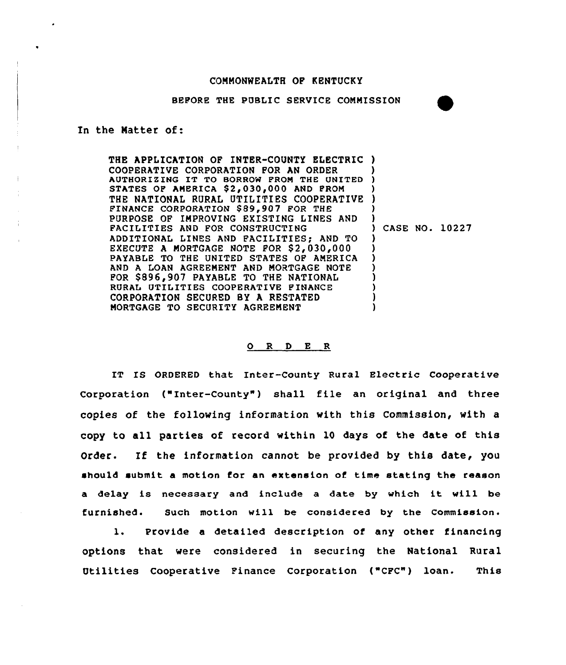## COMMONWEALTH OF KENTUCKY

BEPORE THE PUBLIC SERVICE COMMISSION



THE APPLICATION OF INTER-COUNTY ELECTRIC ) COOPERATIVE CORPORATION FOR AN ORDER COOPERATIVE CORPORATION FOR AN ORDER (0)<br>AUTHORIZING IT TO BORROW FROM THE UNITED (0) STATES OP AMERICA \$2,030,000 AND PROM THE NATIONAL RURAL UTILITIES COOPERATIVE FINANCE CORPORATION \$89,907 FOR THE PURPOSE OF IMPROVING EXISTING LINES AND FACILITIES AND FOR CONSTRUCTING ADDITIONAL LINES AND FACILITIES; AND TO EXECUTE A MORTGAGE NOTE FOR \$2,030,000 PAYABLE TO THE UNITED STATES OF AMERICA AND A LOAN AGREEMENT AND MORTGAGE NOTE POR \$896,907 PAYABLE TO THE NATIONAL RURAL UTILITIES COOPERATIVE FINANCE CORPORATION SECURED BY A RESTATED MORTGAGE TO SECURITY AGREEMENT ) ) ) ) ) ) CASE NO. 10227 ) ) ) ) ) ) ) )

## 0 <sup>R</sup> <sup>D</sup> E <sup>R</sup>

IT IS ORDERED that Inter-County Rural Electric Cooperative Corporation ("Inter-County") shall file an original and three copies of the followinq information with this Commission, with a copy to all parties of record within l0 days of the date of this Order. If the information cannot be provided by this date, you should submit a motion for an extension of time stating the reason <sup>a</sup> delay is necessary and include <sup>a</sup> date by which it will be furnished. Such motion will be considered by the Commission.

l. Provide <sup>a</sup> detailed description of any other financing options that were considered in securing the National Rural Utilities Cooperative Finance Corporation ("CFC") loan. This